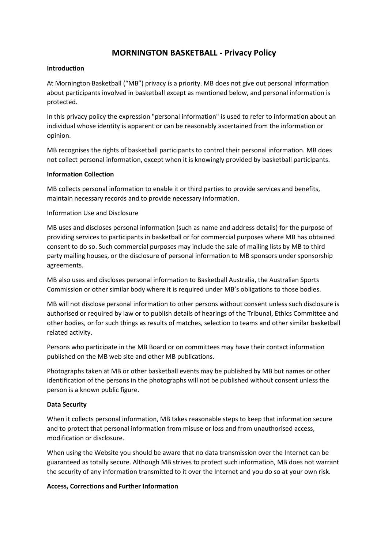# **MORNINGTON BASKETBALL - Privacy Policy**

#### **Introduction**

At Mornington Basketball ("MB") privacy is a priority. MB does not give out personal information about participants involved in basketball except as mentioned below, and personal information is protected.

In this privacy policy the expression "personal information" is used to refer to information about an individual whose identity is apparent or can be reasonably ascertained from the information or opinion.

MB recognises the rights of basketball participants to control their personal information. MB does not collect personal information, except when it is knowingly provided by basketball participants.

### **Information Collection**

MB collects personal information to enable it or third parties to provide services and benefits, maintain necessary records and to provide necessary information.

### Information Use and Disclosure

MB uses and discloses personal information (such as name and address details) for the purpose of providing services to participants in basketball or for commercial purposes where MB has obtained consent to do so. Such commercial purposes may include the sale of mailing lists by MB to third party mailing houses, or the disclosure of personal information to MB sponsors under sponsorship agreements.

MB also uses and discloses personal information to Basketball Australia, the Australian Sports Commission or other similar body where it is required under MB's obligations to those bodies.

MB will not disclose personal information to other persons without consent unless such disclosure is authorised or required by law or to publish details of hearings of the Tribunal, Ethics Committee and other bodies, or for such things as results of matches, selection to teams and other similar basketball related activity.

Persons who participate in the MB Board or on committees may have their contact information published on the MB web site and other MB publications.

Photographs taken at MB or other basketball events may be published by MB but names or other identification of the persons in the photographs will not be published without consent unless the person is a known public figure.

## **Data Security**

When it collects personal information, MB takes reasonable steps to keep that information secure and to protect that personal information from misuse or loss and from unauthorised access, modification or disclosure.

When using the Website you should be aware that no data transmission over the Internet can be guaranteed as totally secure. Although MB strives to protect such information, MB does not warrant the security of any information transmitted to it over the Internet and you do so at your own risk.

## **Access, Corrections and Further Information**